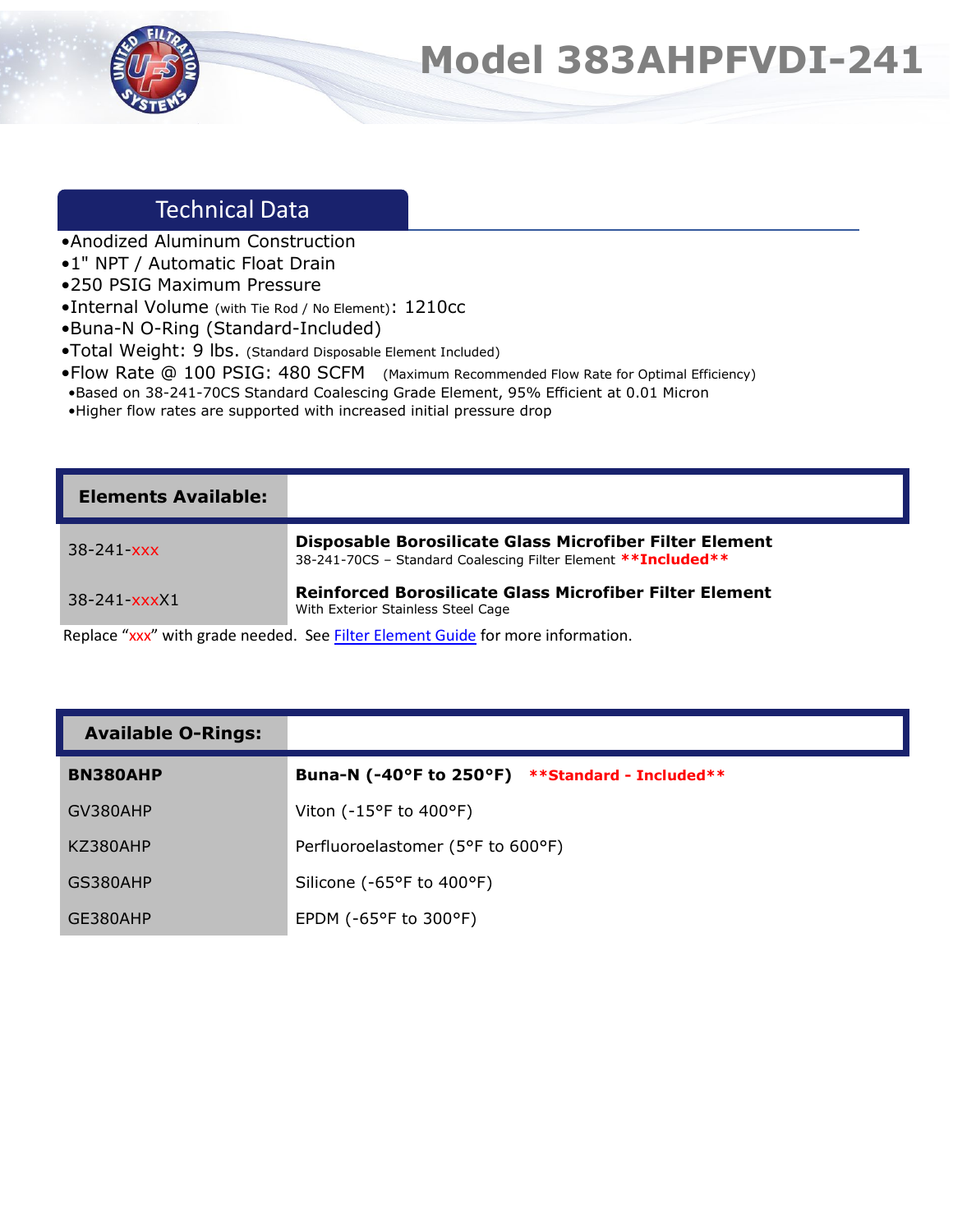

## **Model 383AHPFVDI-241**

## Technical Data

- •Anodized Aluminum Construction
- •1" NPT / Automatic Float Drain
- •250 PSIG Maximum Pressure
- •Internal Volume (with Tie Rod / No Element): 1210cc
- •Buna-N O-Ring (Standard-Included)
- •Total Weight: 9 lbs. (Standard Disposable Element Included)
- •Flow Rate @ 100 PSIG: 480 SCFM (Maximum Recommended Flow Rate for Optimal Efficiency)
- •Based on 38-241-70CS Standard Coalescing Grade Element, 95% Efficient at 0.01 Micron
- •Higher flow rates are supported with increased initial pressure drop

| <b>Elements Available:</b> |                                                                                                                           |
|----------------------------|---------------------------------------------------------------------------------------------------------------------------|
| $38 - 241 - xxx$           | Disposable Borosilicate Glass Microfiber Filter Element<br>38-241-70CS - Standard Coalescing Filter Element ** Included** |
| $38 - 241 - xxxX1$         | Reinforced Borosilicate Glass Microfiber Filter Element<br>With Exterior Stainless Steel Cage                             |

Replace "xxx" with grade needed. See **Filter Element Guide** for more information.

| <b>Available O-Rings:</b> |  |
|---------------------------|--|
|---------------------------|--|

| <b>BN380AHP</b> | Buna-N (-40°F to 250°F)<br><b>**Standard - Included**</b> |
|-----------------|-----------------------------------------------------------|
| GV380AHP        | Viton ( $-15^{\circ}$ F to $400^{\circ}$ F)               |
| KZ380AHP        | Perfluoroelastomer (5°F to 600°F)                         |
| GS380AHP        | Silicone (-65°F to 400°F)                                 |
| GE380AHP        | EPDM ( $-65^{\circ}$ F to 300 $^{\circ}$ F)               |